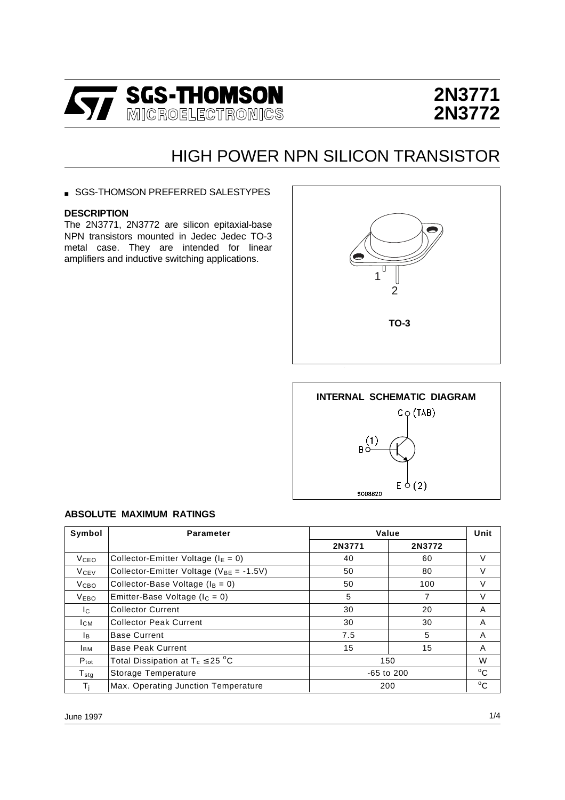

# **2N3771 2N3772**

## HIGH POWER NPN SILICON TRANSISTOR

■ SGS-THOMSON PREFERRED SALESTYPES

#### **DESCRIPTION**

The 2N3771, 2N3772 are silicon epitaxial-base NPN transistors mounted in Jedec Jedec TO-3 metal case. They are intended for linear amplifiers and inductive switching applications.





#### **ABSOLUTE MAXIMUM RATINGS**

| Symbol                      | <b>Parameter</b>                               | Value        |        | Unit         |
|-----------------------------|------------------------------------------------|--------------|--------|--------------|
|                             |                                                | 2N3771       | 2N3772 |              |
| <b>V</b> ceo                | Collector-Emitter Voltage ( $IE = 0$ )         | 40           | 60     | V            |
| <b>V<sub>CEV</sub></b>      | Collector-Emitter Voltage ( $V_{BE} = -1.5V$ ) | 50           | 80     | V            |
| V <sub>CBO</sub>            | Collector-Base Voltage ( $I_B = 0$ )           | 50<br>100    |        | $\vee$       |
| <b>VEBO</b>                 | Emitter-Base Voltage ( $I_C = 0$ )             | 5            | 7      | $\vee$       |
| Ic.                         | <b>Collector Current</b>                       | 30           | 20     | A            |
| <b>CM</b>                   | <b>Collector Peak Current</b><br>30            |              | 30     | A            |
| lв.                         | <b>Base Current</b>                            | 7.5          | 5      | A            |
| Івм                         | <b>Base Peak Current</b>                       | 15           | 15     | A            |
| $P_{\text{tot}}$            | Total Dissipation at $T_c \leq 25$ °C          | 150          |        | W            |
| $\mathsf{T}_{\textsf{std}}$ | Storage Temperature                            | $-65$ to 200 |        | $^{\circ}$ C |
| Τì                          | Max. Operating Junction Temperature            | 200          |        | $^{\circ}$ C |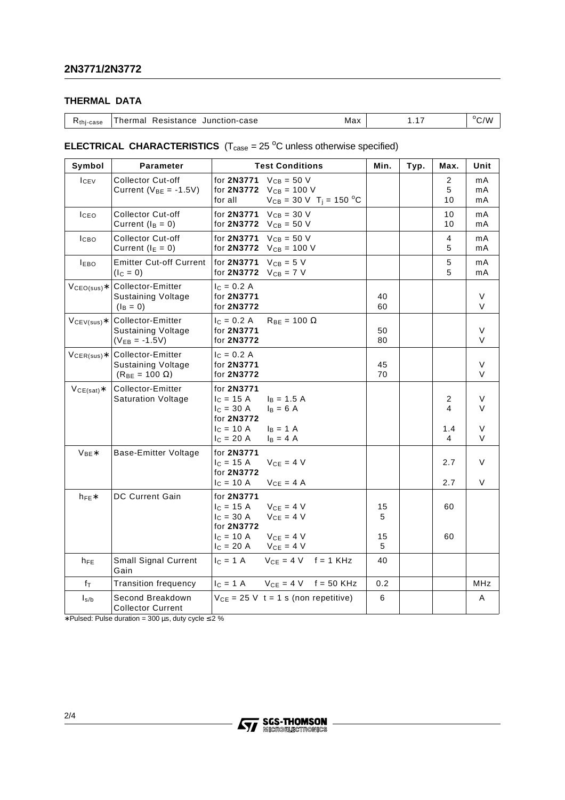### **THERMAL DATA**

#### **ELECTRICAL CHARACTERISTICS**  $(T_{\text{case}} = 25 \text{ °C}$  unless otherwise specified)

| Symbol                   | Parameter                                                                 | <b>Test Conditions</b>                                                                                                        | Min.     | Typ. | Max.         | Unit           |
|--------------------------|---------------------------------------------------------------------------|-------------------------------------------------------------------------------------------------------------------------------|----------|------|--------------|----------------|
| <b>I</b> CEV             | <b>Collector Cut-off</b><br>Current ( $V_{BE} = -1.5V$ )                  | for 2N3771<br>$V_{CB} = 50 V$<br>for 2N3772<br>$V_{CB} = 100 V$<br>for all<br>$V_{CB} = 30 \text{ V}$ T <sub>j</sub> = 150 °C |          |      | 2<br>5<br>10 | mA<br>mA<br>mA |
| <b>I</b> CEO             | <b>Collector Cut-off</b><br>Current $(I_B = 0)$                           | $V_{CB} = 30 V$<br>for 2N3771<br>for <b>2N3772</b><br>$V_{CB} = 50 V$                                                         |          |      | 10<br>10     | mA<br>mA       |
| I <sub>CBO</sub>         | <b>Collector Cut-off</b><br>Current ( $I_E = 0$ )                         | $V_{CB} = 50 V$<br>for 2N3771<br>for 2N3772<br>$V_{CB} = 100 V$                                                               |          |      | 4<br>5       | mA<br>mA       |
| <b>IEBO</b>              | <b>Emitter Cut-off Current</b><br>$(I_C = 0)$                             | $V_{CB} = 5 V$<br>for 2N3771<br>for 2N3772<br>$V_{CB}$ = 7 V                                                                  |          |      | 5<br>5       | mA<br>mA       |
| $VCEO(sus)*$             | Collector-Emitter<br><b>Sustaining Voltage</b><br>$(I_B = 0)$             | $I_c = 0.2 A$<br>for 2N3771<br>for 2N3772                                                                                     | 40<br>60 |      |              | $\vee$<br>V    |
| $V_{CEV(sus)*}$          | Collector-Emitter<br>Sustaining Voltage<br>$(V_{EB} = -1.5V)$             | $I_C = 0.2 A$<br>$R_{BE} = 100 \Omega$<br>for 2N3771<br>for 2N3772                                                            | 50<br>80 |      |              | V<br>V         |
| $V_{\mathsf{CER(sus)}*}$ | Collector-Emitter<br><b>Sustaining Voltage</b><br>$(R_{BE} = 100 \Omega)$ | $I_C = 0.2 A$<br>for 2N3771<br>for 2N3772                                                                                     | 45<br>70 |      |              | V<br>V         |
| $VCE(sat)*$              | Collector-Emitter<br><b>Saturation Voltage</b>                            | for 2N3771<br>$c = 15 A$<br>$I_B = 1.5 A$<br>$I_{C} = 30 A$<br>$I_{B} = 6 A$<br>for 2N3772                                    |          |      | 2<br>4       | V<br>V         |
|                          |                                                                           | $c = 10 A$<br>$I_B = 1 A$<br>$I_C = 20 A$<br>$I_B = 4 A$                                                                      |          |      | 1.4<br>4     | V<br>V         |
| $V_{BE}$                 | Base-Emitter Voltage                                                      | for 2N3771<br>$V_{CE} = 4 V$<br>$I_C = 15 A$<br>for 2N3772                                                                    |          |      | 2.7          | V              |
|                          |                                                                           | $I_c = 10 A$<br>$V_{CE} = 4$ A                                                                                                |          |      | 2.7          | V              |
| $h_{FE}$                 | DC Current Gain                                                           | for 2N3771<br>$c = 15 A$<br>$V_{CE} = 4 V$<br>$V_{CE} = 4 V$<br>$c = 30 A$<br>for 2N3772                                      | 15<br>5  |      | 60           |                |
|                          |                                                                           | $V_{CE} = 4 V$<br>$I_C = 10 A$<br>$V_{CE} = 4 V$<br>$I_C = 20 A$                                                              | 15<br>5  |      | 60           |                |
| $h_{FE}$                 | Small Signal Current<br>Gain                                              | $IC = 1 A$<br>$V_{CE} = 4 V$ f = 1 KHz                                                                                        | 40       |      |              |                |
| fτ                       | <b>Transition frequency</b>                                               | $V_{CE} = 4 V$ f = 50 KHz<br>$I_C = 1 A$                                                                                      | 0.2      |      |              | MHz            |
| $I_{s/b}$                | Second Breakdown<br><b>Collector Current</b>                              | $V_{CE}$ = 25 V t = 1 s (non repetitive)                                                                                      | 6        |      |              | Α              |

∗ Pulsed: Pulse duration = 300 µs, duty cycle ≤ 2 %

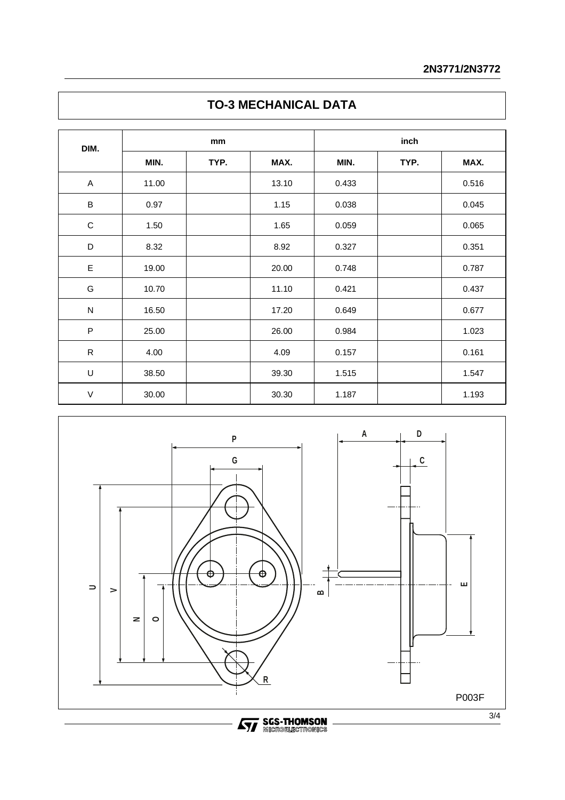|  | <b>TO-3 MECHANICAL DATA</b> |  |  |
|--|-----------------------------|--|--|
|--|-----------------------------|--|--|

| DIM.         | mm    |      | inch  |       |      |       |
|--------------|-------|------|-------|-------|------|-------|
|              | MIN.  | TYP. | MAX.  | MIN.  | TYP. | MAX.  |
| A            | 11.00 |      | 13.10 | 0.433 |      | 0.516 |
| $\sf B$      | 0.97  |      | 1.15  | 0.038 |      | 0.045 |
| $\mathsf C$  | 1.50  |      | 1.65  | 0.059 |      | 0.065 |
| D            | 8.32  |      | 8.92  | 0.327 |      | 0.351 |
| E            | 19.00 |      | 20.00 | 0.748 |      | 0.787 |
| G            | 10.70 |      | 11.10 | 0.421 |      | 0.437 |
| ${\sf N}$    | 16.50 |      | 17.20 | 0.649 |      | 0.677 |
| $\mathsf{P}$ | 25.00 |      | 26.00 | 0.984 |      | 1.023 |
| ${\sf R}$    | 4.00  |      | 4.09  | 0.157 |      | 0.161 |
| $\sf U$      | 38.50 |      | 39.30 | 1.515 |      | 1.547 |
| $\sf V$      | 30.00 |      | 30.30 | 1.187 |      | 1.193 |



**STAGES-THOMSON**<br>**STAGE REGISTRONICS**